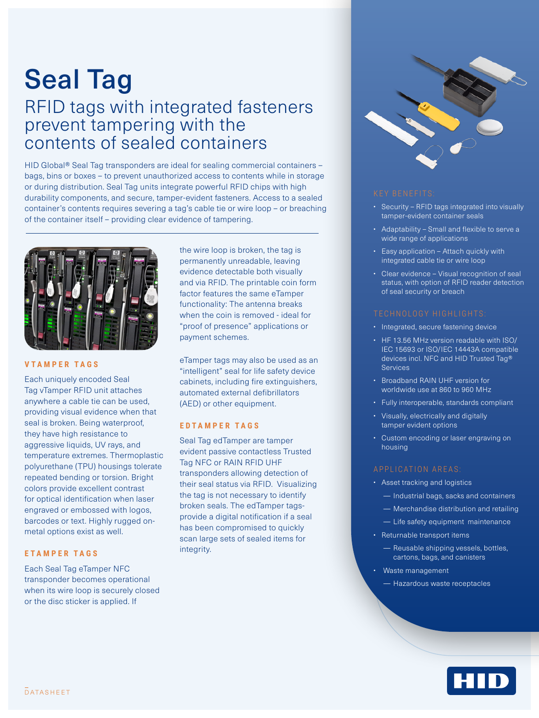# Seal Tag

## RFID tags with integrated fasteners prevent tampering with the contents of sealed containers

HID Global® Seal Tag transponders are ideal for sealing commercial containers – bags, bins or boxes – to prevent unauthorized access to contents while in storage or during distribution. Seal Tag units integrate powerful RFID chips with high durability components, and secure, tamper-evident fasteners. Access to a sealed container's contents requires severing a tag's cable tie or wire loop – or breaching of the container itself – providing clear evidence of tampering.



## **VTAMPER TAGS**

Each uniquely encoded Seal Tag vTamper RFID unit attaches anywhere a cable tie can be used, providing visual evidence when that seal is broken. Being waterproof, they have high resistance to aggressive liquids, UV rays, and temperature extremes. Thermoplastic polyurethane (TPU) housings tolerate repeated bending or torsion. Bright colors provide excellent contrast for optical identification when laser engraved or embossed with logos, barcodes or text. Highly rugged onmetal options exist as well.

## **ETAMPER TAGS**

Each Seal Tag eTamper NFC transponder becomes operational when its wire loop is securely closed or the disc sticker is applied. If

the wire loop is broken, the tag is permanently unreadable, leaving evidence detectable both visually and via RFID. The printable coin form factor features the same eTamper functionality: The antenna breaks when the coin is removed - ideal for "proof of presence" applications or payment schemes.

eTamper tags may also be used as an "intelligent" seal for life safety device cabinets, including fire extinguishers, automated external defibrillators (AED) or other equipment.

### **E D T A M P E R T A G S**

Seal Tag edTamper are tamper evident passive contactless Trusted Tag NFC or RAIN RFID UHF transponders allowing detection of their seal status via RFID. Visualizing the tag is not necessary to identify broken seals. The edTamper tagsprovide a digital notification if a seal has been compromised to quickly scan large sets of sealed items for integrity.



- Security RFID tags integrated into visually tamper-evident container seals
- Adaptability Small and flexible to serve a wide range of applications
- Easy application Attach quickly with integrated cable tie or wire loop
- Clear evidence Visual recognition of seal status, with option of RFID reader detection of seal security or breach

- Integrated, secure fastening device
- HF 13.56 MHz version readable with ISO/ IEC 15693 or ISO/IEC 14443A compatible devices incl. NFC and HID Trusted Tag® **Sentings**
- Broadband RAIN UHF version for worldwide use at 860 to 960 MHz
- Fully interoperable, standards compliant
- Visually, electrically and digitally tamper evident options
- Custom encoding or laser engraving on housing

- Asset tracking and logistics
	- Industrial bags, sacks and containers
	- Merchandise distribution and retailing
	- Life safety equipment maintenance
- Returnable transport items
	- Reusable shipping vessels, bottles, cartons, bags, and canisters
- Waste management
	- Hazardous waste receptacles